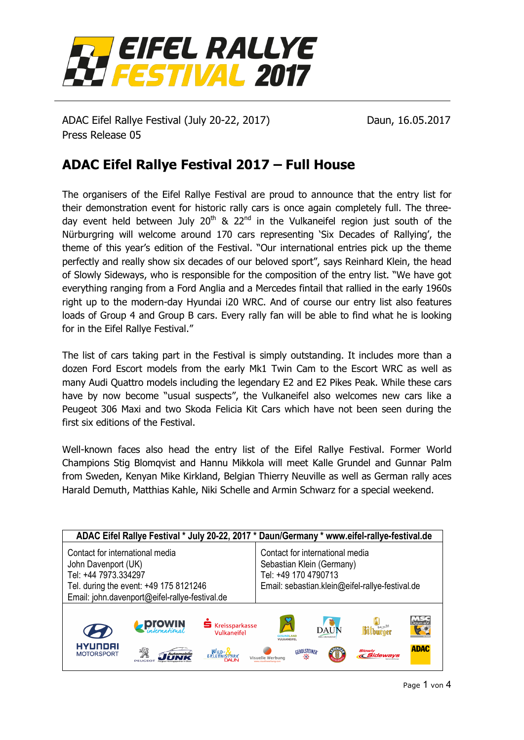

ADAC Eifel Rallye Festival (July 20-22, 2017) Daun, 16.05.2017 Press Release 05

## **ADAC Eifel Rallye Festival 2017 – Full House**

The organisers of the Eifel Rallye Festival are proud to announce that the entry list for their demonstration event for historic rally cars is once again completely full. The threeday event held between July  $20<sup>th</sup>$  &  $22<sup>nd</sup>$  in the Vulkaneifel region just south of the Nürburgring will welcome around 170 cars representing 'Six Decades of Rallying', the theme of this year's edition of the Festival. "Our international entries pick up the theme perfectly and really show six decades of our beloved sport", says Reinhard Klein, the head of Slowly Sideways, who is responsible for the composition of the entry list. "We have got everything ranging from a Ford Anglia and a Mercedes fintail that rallied in the early 1960s right up to the modern-day Hyundai i20 WRC. And of course our entry list also features loads of Group 4 and Group B cars. Every rally fan will be able to find what he is looking for in the Eifel Rallye Festival."

The list of cars taking part in the Festival is simply outstanding. It includes more than a dozen Ford Escort models from the early Mk1 Twin Cam to the Escort WRC as well as many Audi Quattro models including the legendary E2 and E2 Pikes Peak. While these cars have by now become "usual suspects", the Vulkaneifel also welcomes new cars like a Peugeot 306 Maxi and two Skoda Felicia Kit Cars which have not been seen during the first six editions of the Festival.

Well-known faces also head the entry list of the Eifel Rallye Festival. Former World Champions Stig Blomqvist and Hannu Mikkola will meet Kalle Grundel and Gunnar Palm from Sweden, Kenyan Mike Kirkland, Belgian Thierry Neuville as well as German rally aces Harald Demuth, Matthias Kahle, Niki Schelle and Armin Schwarz for a special weekend.

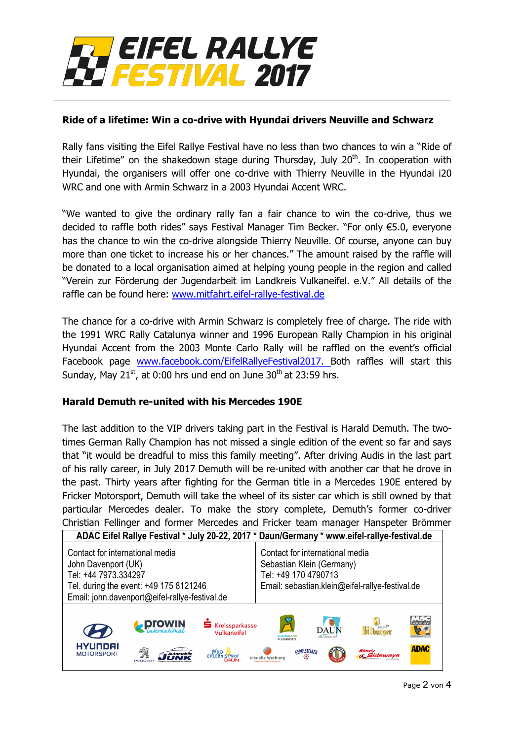

#### **Ride of a lifetime: Win a co-drive with Hyundai drivers Neuville and Schwarz**

Rally fans visiting the Eifel Rallye Festival have no less than two chances to win a "Ride of their Lifetime" on the shakedown stage during Thursday, July  $20<sup>th</sup>$ . In cooperation with Hyundai, the organisers will offer one co-drive with Thierry Neuville in the Hyundai i20 WRC and one with Armin Schwarz in a 2003 Hyundai Accent WRC.

"We wanted to give the ordinary rally fan a fair chance to win the co-drive, thus we decided to raffle both rides" says Festival Manager Tim Becker. "For only €5.0, everyone has the chance to win the co-drive alongside Thierry Neuville. Of course, anyone can buy more than one ticket to increase his or her chances." The amount raised by the raffle will be donated to a local organisation aimed at helping young people in the region and called "Verein zur Förderung der Jugendarbeit im Landkreis Vulkaneifel. e.V." All details of the raffle can be found here: [www.mitfahrt.eifel-rallye-festival.de](http://www.mitfahrt.eifel-rallye-festival.de/) 

The chance for a co-drive with Armin Schwarz is completely free of charge. The ride with the 1991 WRC Rally Catalunya winner and 1996 European Rally Champion in his original Hyundai Accent from the 2003 Monte Carlo Rally will be raffled on the event's official Facebook page [www.facebook.com/EifelRallyeFestival2017.](http://www.facebook.com/EifelRallyeFestival2017) Both raffles will start this Sunday, May  $21^{st}$ , at 0:00 hrs und end on June  $30^{th}$  at 23:59 hrs.

#### **Harald Demuth re-united with his Mercedes 190E**

The last addition to the VIP drivers taking part in the Festival is Harald Demuth. The twotimes German Rally Champion has not missed a single edition of the event so far and says that "it would be dreadful to miss this family meeting". After driving Audis in the last part of his rally career, in July 2017 Demuth will be re-united with another car that he drove in the past. Thirty years after fighting for the German title in a Mercedes 190E entered by Fricker Motorsport, Demuth will take the wheel of its sister car which is still owned by that particular Mercedes dealer. To make the story complete, Demuth's former co-driver Christian Fellinger and former Mercedes and Fricker team manager Hanspeter Brömmer

| ADAC Eifel Rallye Festival * July 20-22, 2017 * Daun/Germany * www.eifel-rallye-festival.de                                                                                |                            |                                        |                                                                                                                                         |                                      |                                          |                       |
|----------------------------------------------------------------------------------------------------------------------------------------------------------------------------|----------------------------|----------------------------------------|-----------------------------------------------------------------------------------------------------------------------------------------|--------------------------------------|------------------------------------------|-----------------------|
| Contact for international media<br>John Davenport (UK)<br>Tel: +44 7973.334297<br>Tel. during the event: +49 175 8121246<br>Email: john.davenport@eifel-rallye-festival.de |                            |                                        | Contact for international media<br>Sebastian Klein (Germany)<br>Tel: +49 170 4790713<br>Email: sebastian.klein@eifel-rallye-festival.de |                                      |                                          |                       |
|                                                                                                                                                                            | <b>ProWIN</b>              | <b>S</b> Kreissparkasse<br>Vulkaneifel | $\cancel{S}$<br><b>JESUNDI AND</b><br>VULKANEIFEL                                                                                       | ▩<br><b>DAUN</b><br>ODS, HND WIDSTAT | <b>Rithirpor</b>                         | MSC<br>Daun e.V<br>53 |
| HYUNDAI<br><b>MOTORSPORT</b>                                                                                                                                               | N<br>Automobile<br>PEUGEOT | WILD-N                                 | GEROLSTEINER<br>Visuelle Werbung                                                                                                        |                                      | <b>Slowly</b><br><i><b>«Sideways</b></i> | <b>ADAC</b>           |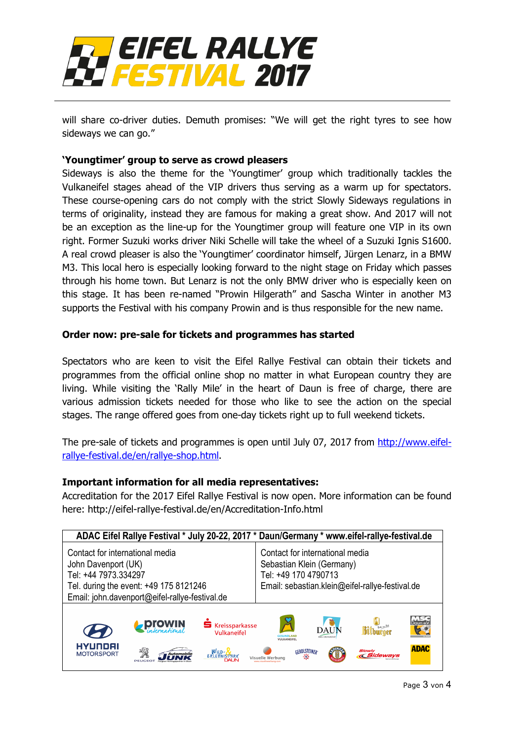

will share co-driver duties. Demuth promises: "We will get the right tyres to see how sideways we can go."

#### **'Youngtimer' group to serve as crowd pleasers**

Sideways is also the theme for the 'Youngtimer' group which traditionally tackles the Vulkaneifel stages ahead of the VIP drivers thus serving as a warm up for spectators. These course-opening cars do not comply with the strict Slowly Sideways regulations in terms of originality, instead they are famous for making a great show. And 2017 will not be an exception as the line-up for the Youngtimer group will feature one VIP in its own right. Former Suzuki works driver Niki Schelle will take the wheel of a Suzuki Ignis S1600. A real crowd pleaser is also the 'Youngtimer' coordinator himself, Jürgen Lenarz, in a BMW M3. This local hero is especially looking forward to the night stage on Friday which passes through his home town. But Lenarz is not the only BMW driver who is especially keen on this stage. It has been re-named "Prowin Hilgerath" and Sascha Winter in another M3 supports the Festival with his company Prowin and is thus responsible for the new name.

#### **Order now: pre-sale for tickets and programmes has started**

Spectators who are keen to visit the Eifel Rallye Festival can obtain their tickets and programmes from the official online shop no matter in what European country they are living. While visiting the 'Rally Mile' in the heart of Daun is free of charge, there are various admission tickets needed for those who like to see the action on the special stages. The range offered goes from one-day tickets right up to full weekend tickets.

The pre-sale of tickets and programmes is open until July 07, 2017 from [http://www.eifel](http://www.eifel-rallye-festival.de/en/rallye-shop.html)[rallye-festival.de/en/rallye-shop.html.](http://www.eifel-rallye-festival.de/en/rallye-shop.html)

#### **Important information for all media representatives:**

Accreditation for the 2017 Eifel Rallye Festival is now open. More information can be found here: http://eifel-rallye-festival.de/en/Accreditation-Info.html

| ADAC Eifel Rallye Festival * July 20-22, 2017 * Daun/Germany * www.eifel-rallye-festival.de                                                                                |                             |                                        |                                                                                                                                         |                                        |                                    |                        |
|----------------------------------------------------------------------------------------------------------------------------------------------------------------------------|-----------------------------|----------------------------------------|-----------------------------------------------------------------------------------------------------------------------------------------|----------------------------------------|------------------------------------|------------------------|
| Contact for international media<br>John Davenport (UK)<br>Tel: +44 7973.334297<br>Tel. during the event: +49 175 8121246<br>Email: john.davenport@eifel-rallye-festival.de |                             |                                        | Contact for international media<br>Sebastian Klein (Germany)<br>Tel: +49 170 4790713<br>Email: sebastian.klein@eifel-rallye-festival.de |                                        |                                    |                        |
|                                                                                                                                                                            | <b>ProWIN</b>               | <b>S</b> Kreissparkasse<br>Vulkaneifel | $\cancel{2}$<br><b>ESUNDI AND</b><br><b>VIII KANFIFFI</b>                                                                               | 参<br><b>DAUN</b><br>KREIS- UND KURSTAD | <b>Bitburger</b>                   | W K-Te<br>Daun e)<br>H |
| HYUNDAI<br><b>MOTORSPORT</b>                                                                                                                                               | ঽৣৡ<br>Automobile<br>PEUGEO | WILD- <b>X</b>                         | Visuelle Werbung                                                                                                                        | GEROLSTEINER                           | <b>Slowly</b><br><b>« Sideways</b> | <b>ADAC</b>            |